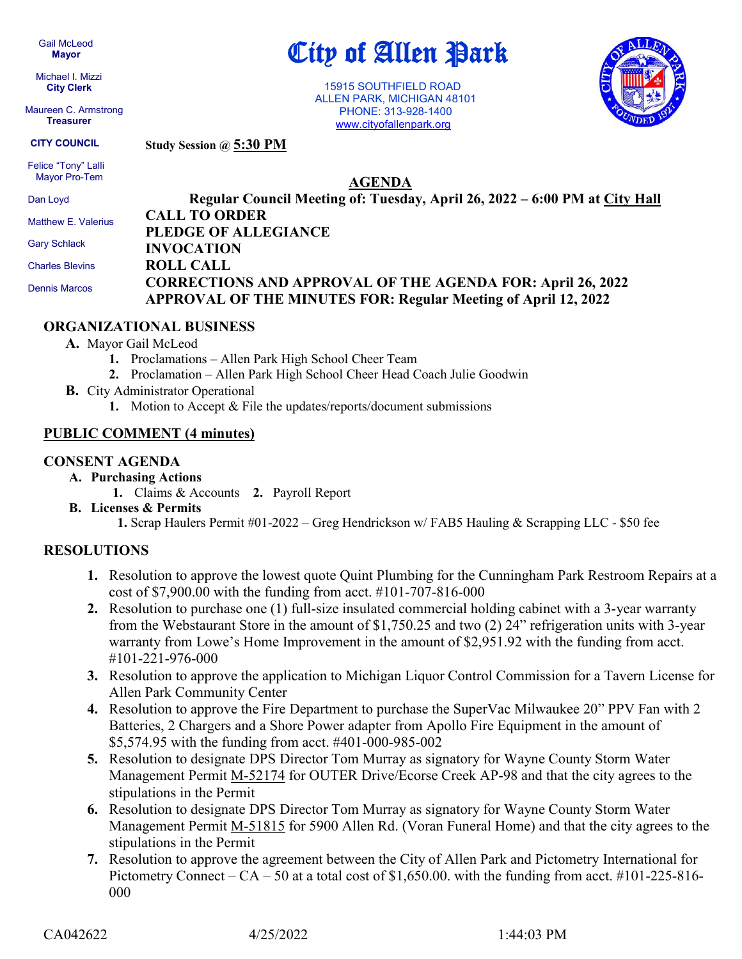Gail McLeod  **Mayor**

 Michael I. Mizzi **City Clerk**

 Maureen C. Armstrong **Treasurer**

City of Allen Park

 15915 SOUTHFIELD ROAD ALLEN PARK, MICHIGAN 48101 PHONE: 313-928-1400 [www.cityofallenpark.org](http://www.cityofallenpark.org/)

**AGENDA**



**Study Session @ 5:30 PM CITY COUNCIL**

 Felice "Tony" Lalli Mayor Pro-Tem

Dan Loyd

 Gary Schlack Charles Blevins Dennis Marcos

**Regular Council Meeting of: Tuesday, April 26, 2022 – 6:00 PM at City Hall CALL TO ORDER PLEDGE OF ALLEGIANCE INVOCATION ROLL CALL CORRECTIONS AND APPROVAL OF THE AGENDA FOR: April 26, 2022 APPROVAL OF THE MINUTES FOR: Regular Meeting of April 12, 2022** Matthew E. Valerius

# **ORGANIZATIONAL BUSINESS**

## **A.** Mayor Gail McLeod

- **1.** Proclamations Allen Park High School Cheer Team
- **2.** Proclamation Allen Park High School Cheer Head Coach Julie Goodwin
- **B.** City Administrator Operational
	- **1.** Motion to Accept & File the updates/reports/document submissions

## **PUBLIC COMMENT (4 minutes)**

## **CONSENT AGENDA**

- **A. Purchasing Actions**
	- **1.** Claims & Accounts **2.** Payroll Report
- **B. Licenses & Permits**

 **1.** Scrap Haulers Permit #01-2022 – Greg Hendrickson w/ FAB5 Hauling & Scrapping LLC - \$50 fee

# **RESOLUTIONS**

- **1.** Resolution to approve the lowest quote Quint Plumbing for the Cunningham Park Restroom Repairs at a cost of \$7,900.00 with the funding from acct. #101-707-816-000
- **2.** Resolution to purchase one (1) full-size insulated commercial holding cabinet with a 3-year warranty from the Webstaurant Store in the amount of \$1,750.25 and two (2) 24" refrigeration units with 3-year warranty from Lowe's Home Improvement in the amount of \$2,951.92 with the funding from acct. #101-221-976-000
- **3.** Resolution to approve the application to Michigan Liquor Control Commission for a Tavern License for Allen Park Community Center
- **4.** Resolution to approve the Fire Department to purchase the SuperVac Milwaukee 20" PPV Fan with 2 Batteries, 2 Chargers and a Shore Power adapter from Apollo Fire Equipment in the amount of \$5,574.95 with the funding from acct. #401-000-985-002
- **5.** Resolution to designate DPS Director Tom Murray as signatory for Wayne County Storm Water Management Permit M-52174 for OUTER Drive/Ecorse Creek AP-98 and that the city agrees to the stipulations in the Permit
- **6.** Resolution to designate DPS Director Tom Murray as signatory for Wayne County Storm Water Management Permit M-51815 for 5900 Allen Rd. (Voran Funeral Home) and that the city agrees to the stipulations in the Permit
- **7.** Resolution to approve the agreement between the City of Allen Park and Pictometry International for Pictometry Connect –  $CA - 50$  at a total cost of \$1,650.00. with the funding from acct. #101-225-816-000